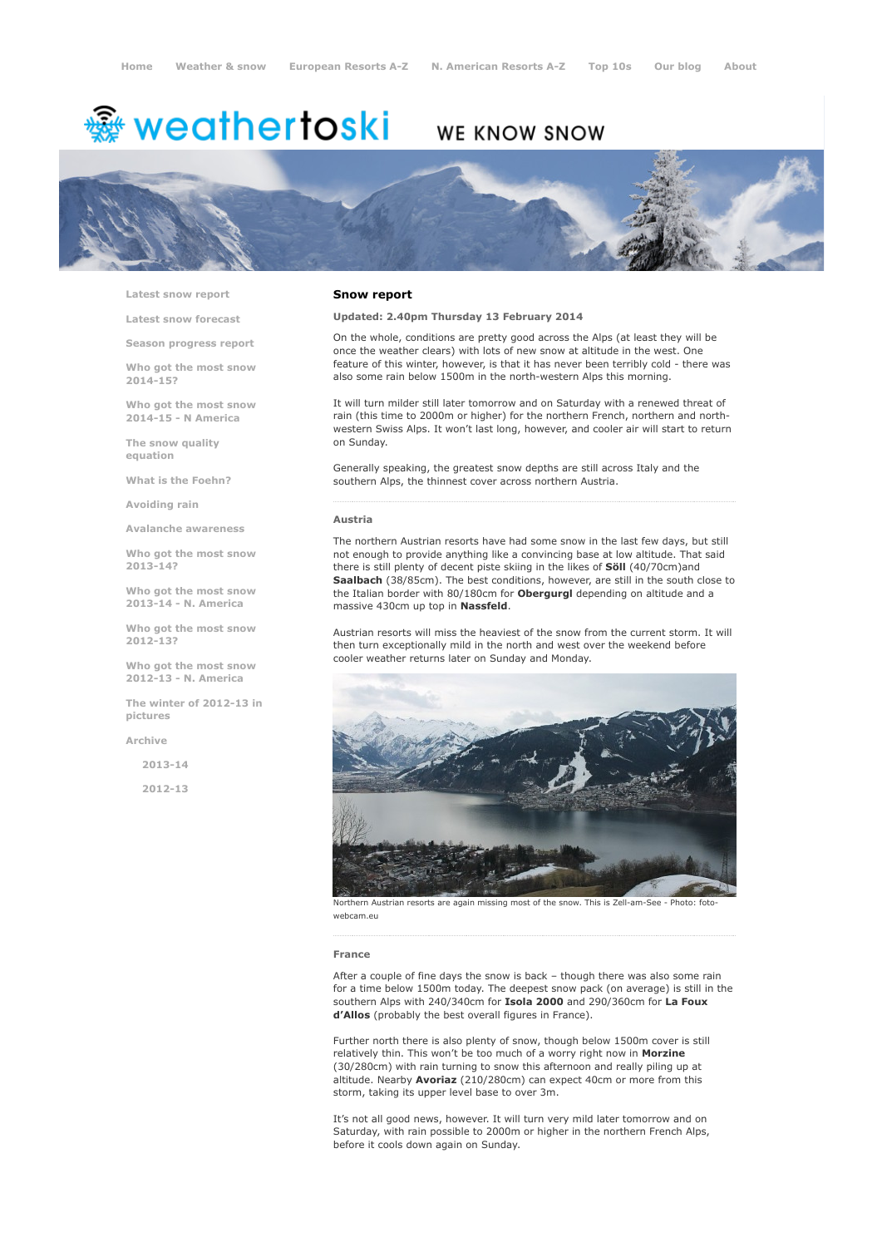# <sup>鑫</sup> weathertoski

# WE KNOW SNOW



Latest snow [report](http://www.weathertoski.co.uk/weather-snow/latest-snow-report/)

Latest snow [forecast](http://www.weathertoski.co.uk/weather-snow/latest-snow-forecast/)

Season [progress](http://www.weathertoski.co.uk/weather-snow/season-progress-report/) report

Who got the most snow 2014-15?

Who got the most snow 2014-15 - N America

The snow quality [equation](http://www.weathertoski.co.uk/weather-snow/the-snow-quality-equation/)

What is the [Foehn?](http://www.weathertoski.co.uk/weather-snow/what-is-the-foehn/)

[Avoiding](http://www.weathertoski.co.uk/weather-snow/avoiding-rain/) rain

Avalanche [awareness](http://www.weathertoski.co.uk/weather-snow/avalanche-awareness/)

Who got the most snow 2013-14?

Who got the most snow 2013-14 - N. America

Who got the most snow 2012-13?

Who got the most snow 2012-13 - N. America

The winter of 2012-13 in pictures

[Archive](http://www.weathertoski.co.uk/weather-snow/archive/)

2013-14

2012-13

#### Snow report

Updated: 2.40pm Thursday 13 February 2014

On the whole, conditions are pretty good across the Alps (at least they will be once the weather clears) with lots of new snow at altitude in the west. One feature of this winter, however, is that it has never been terribly cold - there was also some rain below 1500m in the north-western Alps this morning.

It will turn milder still later tomorrow and on Saturday with a renewed threat of rain (this time to 2000m or higher) for the northern French, northern and northwestern Swiss Alps. It won't last long, however, and cooler air will start to return on Sunday.

Generally speaking, the greatest snow depths are still across Italy and the southern Alps, the thinnest cover across northern Austria.

#### Austria

The northern Austrian resorts have had some snow in the last few days, but still not enough to provide anything like a convincing base at low altitude. That said there is still plenty of decent piste skiing in the likes of Söll (40/70cm)and Saalbach (38/85cm). The best conditions, however, are still in the south close to the Italian border with 80/180cm for Obergurgl depending on altitude and a massive 430cm up top in Nassfeld.

Austrian resorts will miss the heaviest of the snow from the current storm. It will then turn exceptionally mild in the north and west over the weekend before cooler weather returns later on Sunday and Monday.



Northern Austrian resorts are again missing most of the snow. This is Zell-am-See - Photo: foto webcam.eu

#### France

After a couple of fine days the snow is back – though there was also some rain for a time below 1500m today. The deepest snow pack (on average) is still in the southern Alps with 240/340cm for Isola 2000 and 290/360cm for La Foux d'Allos (probably the best overall figures in France).

Further north there is also plenty of snow, though below 1500m cover is still relatively thin. This won't be too much of a worry right now in Morzine (30/280cm) with rain turning to snow this afternoon and really piling up at altitude. Nearby Avoriaz (210/280cm) can expect 40cm or more from this storm, taking its upper level base to over 3m.

It's not all good news, however. It will turn very mild later tomorrow and on Saturday, with rain possible to 2000m or higher in the northern French Alps, before it cools down again on Sunday.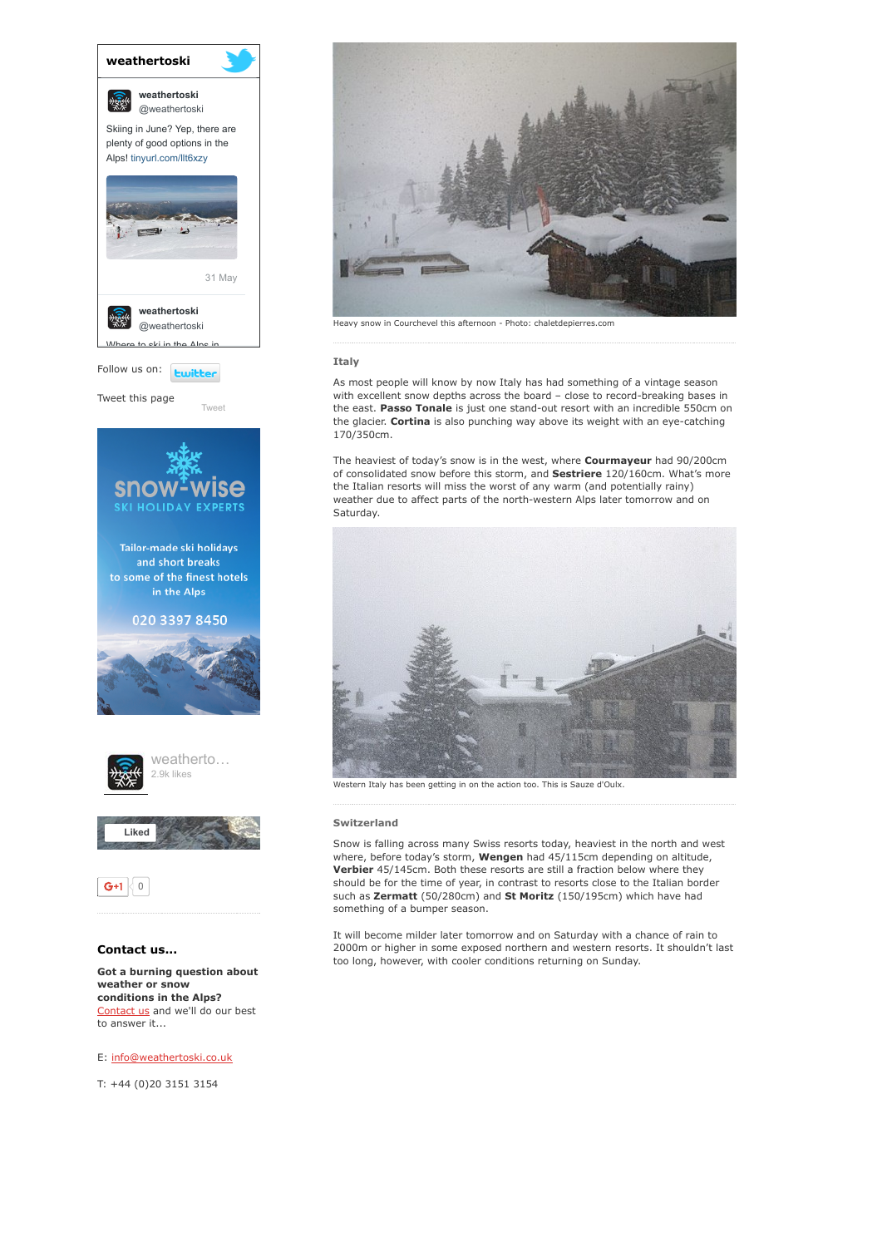







# Contact us...

Got a burning question about weather or snow conditions in the Alps? [Contact](http://www.weathertoski.co.uk/about-1/contact-us/) us and we'll do our best to answer it...

## E: [info@weathertoski.co.uk](mailto:fraser@weathertoski.co.uk)

T: +44 (0)20 3151 3154



Heavy snow in Courchevel this afternoon - Photo: chaletdepierres.com

### Italy

As most people will know by now Italy has had something of a vintage season with excellent snow depths across the board - close to record-breaking bases in the east. Passo Tonale is just one stand-out resort with an incredible 550cm on the glacier. Cortina is also punching way above its weight with an eye-catching 170/350cm.

The heaviest of today's snow is in the west, where Courmayeur had 90/200cm of consolidated snow before this storm, and Sestriere 120/160cm. What's more the Italian resorts will miss the worst of any warm (and potentially rainy) weather due to affect parts of the north-western Alps later tomorrow and on Saturday.



Western Italy has been getting in on the action too. This is Sauze d'Oulx.

### Switzerland

Snow is falling across many Swiss resorts today, heaviest in the north and west where, before today's storm, Wengen had 45/115cm depending on altitude, Verbier 45/145cm. Both these resorts are still a fraction below where they should be for the time of year, in contrast to resorts close to the Italian border such as Zermatt (50/280cm) and St Moritz (150/195cm) which have had something of a bumper season.

It will become milder later tomorrow and on Saturday with a chance of rain to 2000m or higher in some exposed northern and western resorts. It shouldn't last too long, however, with cooler conditions returning on Sunday.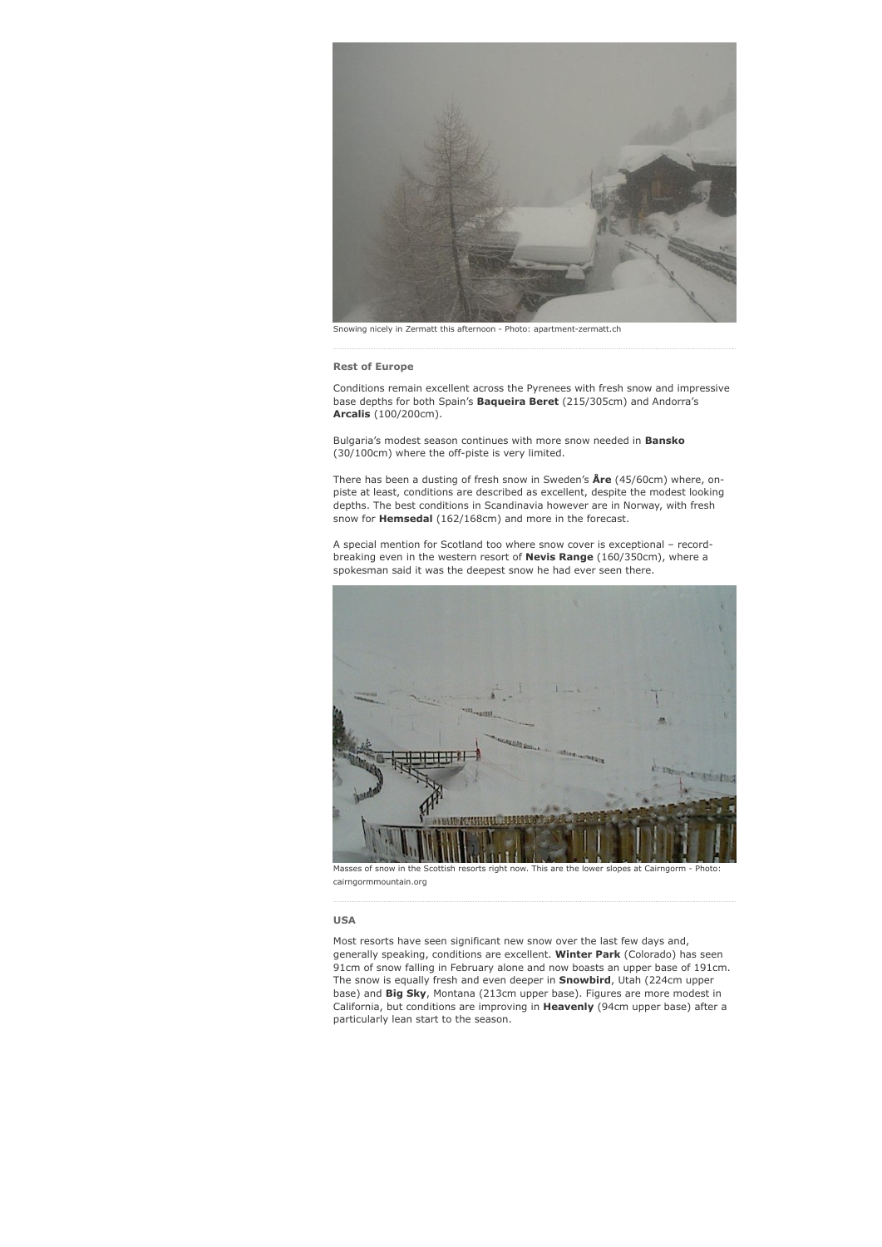

Snowing nicely in Zermatt this afternoon - Photo: apartment-zermatt.ch

Rest of Europe

Conditions remain excellent across the Pyrenees with fresh snow and impressive base depths for both Spain's **Baqueira Beret** (215/305cm) and Andorra's Arcalis (100/200cm).

Bulgaria's modest season continues with more snow needed in **Bansko**  $(30/100cm)$  where the off-piste is very limited.

There has been a dusting of fresh snow in Sweden's  $\text{Are } (45/60 \text{cm})$  where, onpiste at least, conditions are described as excellent, despite the modest looking depths. The best conditions in Scandinavia however are in Norway, with fresh snow for **Hemsedal** (162/168cm) and more in the forecast.

A special mention for Scotland too where snow cover is exceptional – recordbreaking even in the western resort of Nevis Range (160/350cm), where a spokesman said it was the deepest snow he had ever seen there.



Masses of snow in the Scottish resorts right now. This are the lower slopes at Cairngorm - Photo: cairngormmountain.org

#### USA

Most resorts have seen significant new snow over the last few days and, generally speaking, conditions are excellent. Winter Park (Colorado) has seen 91cm of snow falling in February alone and now boasts an upper base of 191cm. The snow is equally fresh and even deeper in **Snowbird**, Utah (224cm upper base) and Big Sky, Montana (213cm upper base). Figures are more modest in California, but conditions are improving in Heavenly (94cm upper base) after a particularly lean start to the season.